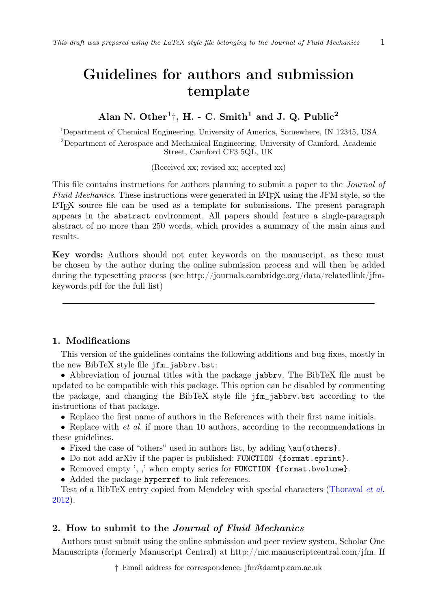# Guidelines for authors and submission template

## Alan N. Other<sup>1</sup>†, H. - C. Smith<sup>1</sup> and J. Q. Public<sup>2</sup>

<sup>1</sup>Department of Chemical Engineering, University of America, Somewhere, IN 12345, USA <sup>2</sup>Department of Aerospace and Mechanical Engineering, University of Camford, Academic Street, Camford CF3 5QL, UK

(Received xx; revised xx; accepted xx)

This file contains instructions for authors planning to submit a paper to the *Journal of Fluid Mechanics*. These instructions were generated in LATEX using the JFM style, so the  $\Delta E$ <sub>TEX</sub> source file can be used as a template for submissions. The present paragraph appears in the abstract environment. All papers should feature a single-paragraph abstract of no more than 250 words, which provides a summary of the main aims and results.

Key words: Authors should not enter keywords on the manuscript, as these must be chosen by the author during the online submission process and will then be added during the typesetting process (see http://journals.cambridge.org/data/relatedlink/jfmkeywords.pdf for the full list)

## 1. Modifications

This version of the guidelines contains the following additions and bug fixes, mostly in the new BibTeX style file jfm\_jabbrv.bst:

• Abbreviation of journal titles with the package jabbry. The BibTeX file must be updated to be compatible with this package. This option can be disabled by commenting the package, and changing the BibTeX style file jfm\_jabbrv.bst according to the instructions of that package.

*[•](#page-10-0)* Replace the first name of authors in the References with their first [name initials.](#page-10-0)

• Replace with *et al.* if more than 10 authors, according to the recommendations in these guidelines.

- Fixed the case of "others" used in authors list, by adding \au{others}.
- *•* Do not add arXiv if the paper is published: FUNCTION {format.eprint}.
- Removed empty ', ,' when empty series for FUNCTION {format.bvolume}.
- Added the package hyperref to link references.

Test of a BibTeX entry copied from Mendeley with special characters (Thoraval *et al.* 2012).

## 2. How to submit to the *Journal of Fluid Mechanics*

Authors must submit using the online submission and peer review system, Scholar One Manuscripts (formerly Manuscript Central) at http://mc.manuscriptcentral.com/jfm. If

*†* Email address for correspondence: jfm@damtp.cam.ac.uk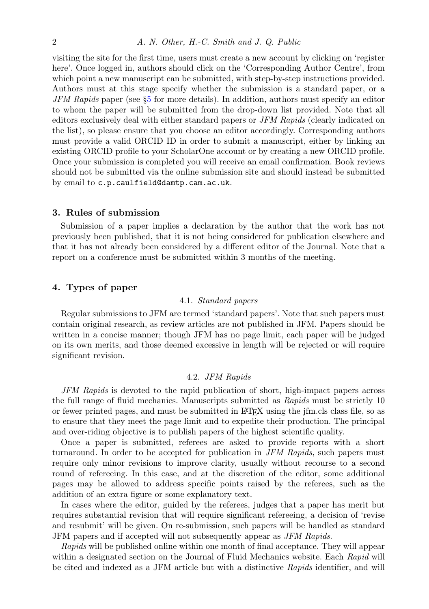visiting the site for the first time, users must create a new account by clicking on 'register here'. Once logged in, authors should click on the 'Corresponding Author Centre', from which point a new manuscript can be submitted, with step-by-step instructions provided. Authors must at this stage specify whether the submission is a standard paper, or a *JFM Rapids* paper (see §5 for more details). In addition, authors must specify an editor to whom the paper will be submitted from the drop-down list provided. Note that all editors exclusively deal with either standard papers or *JFM Rapids* (clearly indicated on the list), so please ensure that you choose an editor accordingly. Corresponding authors must provide a valid ORCID ID in order to submit a manuscript, either by linking an existing ORCID profile to your ScholarOne account or by creating a new ORCID profile. Once your submission is completed you will receive an email confirmation. Book reviews should not be submitted via the online submission site and should instead be submitted by email to c.p.caulfield@damtp.cam.ac.uk.

### 3. Rules of submission

Submission of a paper implies a declaration by the author that the work has not previously been published, that it is not being considered for publication elsewhere and that it has not already been considered by a different editor of the Journal. Note that a report on a conference must be submitted within 3 months of the meeting.

## 4. Types of paper

#### 4.1. *Standard papers*

Regular submissions to JFM are termed 'standard papers'. Note that such papers must contain original research, as review articles are not published in JFM. Papers should be written in a concise manner; though JFM has no page limit, each paper will be judged on its own merits, and those deemed excessive in length will be rejected or will require significant revision.

#### 4.2. *JFM Rapids*

*JFM Rapids* is devoted to the rapid publication of short, high-impact papers across the full range of fluid mechanics. Manuscripts submitted as *Rapids* must be strictly 10 or fewer printed pages, and must be submitted in LATEX using the jfm.cls class file, so as to ensure that they meet the page limit and to expedite their production. The principal and over-riding objective is to publish papers of the highest scientific quality.

Once a paper is submitted, referees are asked to provide reports with a short turnaround. In order to be accepted for publication in *JFM Rapids*, such papers must require only minor revisions to improve clarity, usually without recourse to a second round of refereeing. In this case, and at the discretion of the editor, some additional pages may be allowed to address specific points raised by the referees, such as the addition of an extra figure or some explanatory text.

In cases where the editor, guided by the referees, judges that a paper has merit but requires substantial revision that will require significant refereeing, a decision of 'revise and resubmit' will be given. On re-submission, such papers will be handled as standard JFM papers and if accepted will not subsequently appear as *JFM Rapids*.

*Rapids* will be published online within one month of final acceptance. They will appear within a designated section on the Journal of Fluid Mechanics website. Each *Rapid* will be cited and indexed as a JFM article but with a distinctive *Rapids* identifier, and will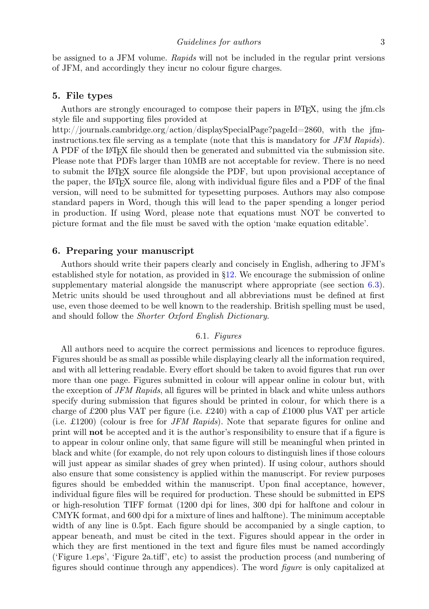<span id="page-2-0"></span>be assigned to a JFM volume. *Rapids* will not be included in the regular print versions of JFM, and accordingly they incur no colour figure charges.

#### 5. File types

Authors are strongly encouraged to compose their papers in LATEX, using the jfm.cls style file and supporting files provided at

http://journals.cambridge.org/action/displaySpecialPage?pageId=2860, with the jfminstructions.tex file serving as a template (note that this is mandatory for *JFM Rapids*). A PDF of the LATEX file should then be generated and submitted via the submission site. Please note that PDFs larger than 10MB are not acceptable for review. There is no need to submit the LATEX source file alongside the PDF, but upon provisional acceptance of the paper, the LATEX source file, along with individual figure files and a PDF of the final version, will need to be submitted for typeset[tin](#page-6-0)g purposes. Authors may also compose standard papers in Word, though this will lead to the paper spending a longer p[erio](#page-4-0)d in production. If using Word, please note that equations must NOT be converted to picture format and the file must be saved with the option 'make equation editable'.

#### 6. Preparing your manuscript

Authors should write their papers clearly and concisely in English, adhering to JFM's established style for notation, as provided in §12. We encourage the submission of online supplementary material alongside the manuscript where appropriate (see section 6.3). Metric units should be used throughout and all abbreviations must be defined at first use, even those deemed to be well known to the readership. British spelling must be used, and should follow the *Shorter Oxford English Dictionary*.

#### 6.1. *Figures*

All authors need to acquire the correct permissions and licences to reproduce figures. Figures should be as small as possible while displaying clearly all the information required, and with all lettering readable. Every effort should be taken to avoid figures that run over more than one page. Figures submitted in colour will appear online in colour but, with the exception of *JFM Rapids*, all figures will be printed in black and white unless authors specify during submission that figures should be printed in colour, for which there is a charge of £200 plus VAT per figure (i.e. £240) with a cap of £1000 plus VAT per article (i.e. £1200) (colour is free for *JFM Rapids*). Note that separate figures for online and print will not be accepted and it is the author's responsibility to ensure that if a figure is to appear in colour online only, that same figure will still be meaningful when printed in black and white (for example, do not rely upon colours to distinguish lines if those colours will just appear as similar shades of grey when printed). If using colour, authors should also ensure that some consistency is applied within the manuscript. For review purposes figures should be embedded within the manuscript. Upon final acceptance, however, individual figure files will be required for production. These should be submitted in EPS or high-resolution TIFF format (1200 dpi for lines, 300 dpi for halftone and colour in CMYK format, and 600 dpi for a mixture of lines and halftone). The minimum acceptable width of any line is 0.5pt. Each figure should be accompanied by a single caption, to appear beneath, and must be cited in the text. Figures should appear in the order in which they are first mentioned in the text and figure files must be named accordingly ('Figure 1.eps', 'Figure 2a.tiff', etc) to assist the production process (and numbering of figures should continue through any appendices). The word *figure* is only capitalized at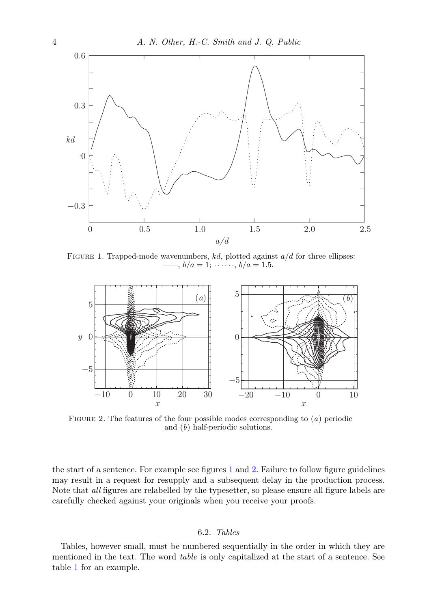

<span id="page-3-0"></span>Figure 1. Trapped-mode wavenumbers, *kd*, plotted against *a/d* for three ellipses:  $-b/a = 1; \cdots, b/a = 1.5.$ 



Figure 2. The features of the four possible modes corresponding to (*a*) periodic and (*b*) half-periodic solutions.

the start of a sentence. For example see figures 1 and 2. Failure to follow figure guidelines may result in a request for resupply and a subsequent delay in the production process. Note [th](#page-4-1)at *all* figures are relabelled by the typesetter, so please ensure all figure labels are carefully checked against your originals when you receive your proofs.

## 6.2. *Tables*

Tables, however small, must be numbered sequentially in the order in which they are mentioned in the text. The word *table* is only capitalized at the start of a sentence. See table 1 for an example.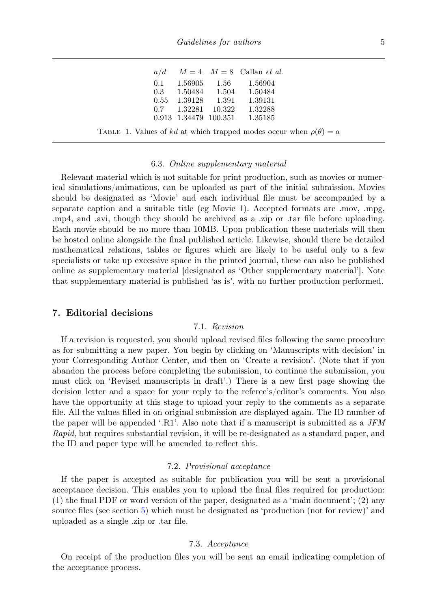*Guidelines for authors* 5

<span id="page-4-1"></span><span id="page-4-0"></span>

|     |  | $a/d$ $M = 4$ $M = 8$ Callan <i>et al.</i> |
|-----|--|--------------------------------------------|
| 0.1 |  | 1.56905 1.56 1.56904                       |
|     |  | $0.3$ $1.50484$ $1.504$ $1.50484$          |
|     |  | 0.55 1.39128 1.391 1.39131                 |
|     |  | $0.7$ $1.32281$ $10.322$ $1.32288$         |
|     |  | 0.913 1.34479 100.351 1.35185              |

#### 6.3. *Online supplementary material*

Relevant material which is not suitable for print production, such as movies or numerical simulations/animations, can be uploaded as part of the initial submission. Movies should be designated as 'Movie' and each individual file must be accompanied by a separate caption and a suitable title (eg Movie 1). Accepted formats are .mov, .mpg, .mp4, and .avi, though they should be archived as a .zip or .tar file before uploading. Each movie should be no more than 10MB. Upon publication these materials will then be hosted online alongside the final published article. Likewise, should there be detailed mathematical relations, tables or figures which are likely to be useful only to a few specialists or take up excessive space in the printed journal, these can also be published online as supplementary material [designated as 'Other supplementary material']. Note that supplementary material is published 'as is', with no further production performed.

## 7. Editorial decisions

#### 7.1. *Revision*

If a revision is requested, you should upload revised files following the same procedure as for submitting a new paper. You begin by clicking on 'Manuscripts with decision' in your Corresponding Author Center, and then on 'Create a revision'. (Note that if you abandon the process before completing the submission, to continue the submission, you must click on 'Revised manuscripts in draft'.) There is a new first page showing the decision letter and a space for your reply to the referee's/editor's comments. You also have the opportunity at this stage to upload your reply to the comments as a separate file. All the values filled in on original submission are displayed again. The ID number of the paper will be appended '.R1'. Also note that if a manuscript is submitted as a *JFM Rapid*, but requires sub[st](#page-2-0)antial revision, it will be re-designated as a standard paper, and the ID and paper type will be amended to reflect this.

#### 7.2. *Provisional acceptance*

If the paper is accepted as suitable for publication you will be sent a provisional acceptance decision. This enables you to upload the final files required for production: (1) the final PDF or word version of the paper, designated as a 'main document'; (2) any source files (see section 5) which must be designated as 'production (not for review)' and uploaded as a single .zip or .tar file.

#### 7.3. *Acceptance*

On receipt of the production files you will be sent an email indicating completion of the acceptance process.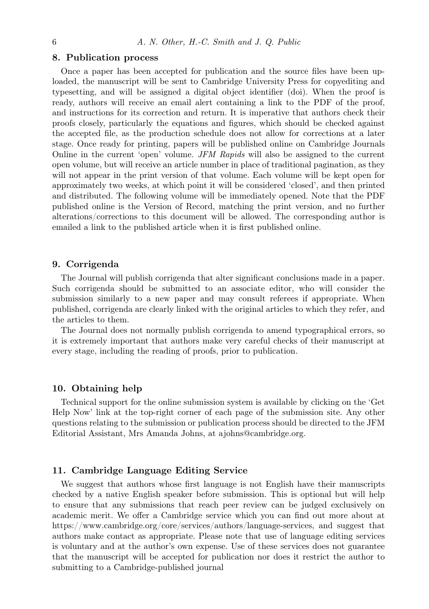#### 8. Publication process

Once a paper has been accepted for publication and the source files have been uploaded, the manuscript will be sent to Cambridge University Press for copyediting and typesetting, and will be assigned a digital object identifier (doi). When the proof is ready, authors will receive an email alert containing a link to the PDF of the proof, and instructions for its correction and return. It is imperative that authors check their proofs closely, particularly the equations and figures, which should be checked against the accepted file, as the production schedule does not allow for corrections at a later stage. Once ready for printing, papers will be published online on Cambridge Journals Online in the current 'open' volume. *JFM Rapids* will also be assigned to the current open volume, but will receive an article number in place of traditional pagination, as they will not appear in the print version of that volume. Each volume will be kept open for approximately two weeks, at which point it will be considered 'closed', and then printed and distributed. The following volume will be immediately opened. Note that the PDF published online is the Version of Record, matching the print version, and no further alterations/corrections to this document will be allowed. The corresponding author is emailed a link to the published article when it is first published online.

#### 9. Corrigenda

The Journal will publish corrigenda that alter significant conclusions made in a paper. Such corrigenda should be submitted to an associate editor, who will consider the submission similarly to a new paper and may consult referees if appropriate. When published, corrigenda are clearly linked with the original articles to which they refer, and the articles to them.

The Journal does not normally publish corrigenda to amend typographical errors, so it is extremely important that authors make very careful checks of their manuscript at every stage, including the reading of proofs, prior to publication.

#### 10. Obtaining help

Technical support for the online submission system is available by clicking on the 'Get Help Now' link at the top-right corner of each page of the submission site. Any other questions relating to the submission or publication process should be directed to the JFM Editorial Assistant, Mrs Amanda Johns, at ajohns@cambridge.org.

#### 11. Cambridge Language Editing Service

We suggest that authors whose first language is not English have their manuscripts checked by a native English speaker before submission. This is optional but will help to ensure that any submissions that reach peer review can be judged exclusively on academic merit. We offer a Cambridge service which you can find out more about at https://www.cambridge.org/core/services/authors/language-services, and suggest that authors make contact as appropriate. Please note that use of language editing services is voluntary and at the author's own expense. Use of these services does not guarantee that the manuscript will be accepted for publication nor does it restrict the author to submitting to a Cambridge-published journal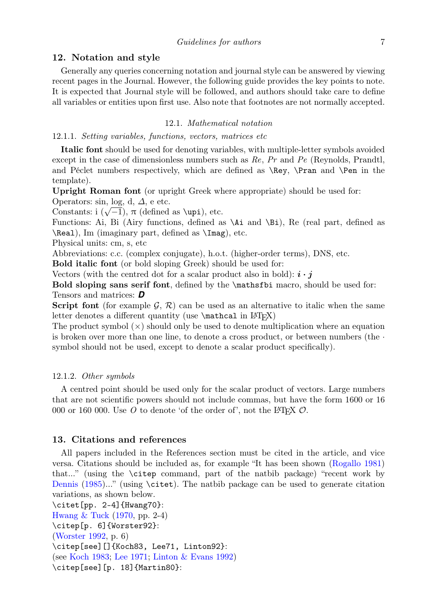#### <span id="page-6-0"></span>12. Notation and style

Generally any queries concerning notation and journal style can be answered by viewing recent pages in the Journal. However, the following guide provides the key points to note. It is expected that Journal style will be followed, and authors should take care to define all variables or entities upon first use. Also note that footnotes are not normally accepted.

#### 12.1. *Mathematical notation*

12.1.1. *Setting variables, functions, vectors, matrices etc*

Italic font should be used for denoting variables, with multiple-letter symbols avoided except in the case of dimensionless numbers such as *Re*, *Pr* and *Pe* (Reynolds, Prandtl, and Péclet numbers respectively, which are defined as \Rey, \Pran and \Pen in the template).

Upright Roman font (or upright Greek where appropriate) should be used for: Operators: sin, log, d, *∆*, e etc.

 $\text{Operations: }\sin, \text{log, }\alpha, \Delta, \text{ etc.}$ <br>Constants: i ( $\sqrt{-1}$ ), π (defined as \upi), etc.

Functions: Ai, Bi (Airy functions, defined as \Ai and \Bi), Re (real part, defined as \Real), Im (imaginary part, defined as \Imag), etc.

Physical units: cm, s, etc

Abbreviations: c.c. (complex conjugate), h.o.t. (higher-order terms), DNS, etc.

Bold italic font (or bold sloping Greek) should be used for:

Vectors (with the centred dot for a scalar product also in bold):  $\mathbf{i} \cdot \mathbf{j}$ 

Bold sloping sans serif font, defined by the \mathsfbi macro, should be used for: Tensors and matrices: *D*

**Script font** (for example  $\mathcal{G}, \mathcal{R}$ ) can be used as an alternative to italic when the same letter denotes a different quantity (use  $\mathcal{L}$  in  $\mathbb{F}(\mathbb{X})$ 

The product symbol (*×*) should only be used to denote multiplication where an equation is broken over more than one line, to denote a cross product, or between numbers (the *·* symbol should not be used, except to denote a scalar product specifically).

#### 12.1.2. *Other symbols*

A centred point should be used only for the scalar product of vectors. [Large numbers](#page-10-1) [that ar](#page-9-0)e [not s](#page-9-0)cientific powers should not include commas, but have the form 1600 or 16 000 or 160 000. Use  $O$  to denote 'of the order of', not the L<sup>AT</sup>EX  $O$ .

#### [13. Citation](#page-9-1)s [and](#page-9-1) references

[All papers i](#page-10-2)ncluded in the References section must be cited in the article, and vice versa. Citations should be included as, for example "It has been shown (Rogallo 1981) that[..." \(using](#page-9-2) [the](#page-9-3) [\cite](#page-9-3)p [command, part of](#page-9-4) the natbib package) "recent work by Dennis (1985)..." (using \citet). The natbib package can be used to generate citation variations, as shown below.

```
\citet[pp. 2-4]{Hwang70}:
Hwang & Tuck (1970, pp. 2-4)
\citep[p. 6]{Worster92}:
(Worster 1992, p. 6)
\citep[see][]{Koch83, Lee71, Linton92}:
(see Koch 1983; Lee 1971; Linton & Evans 1992)
\citep[see][p. 18]{Martin80}:
```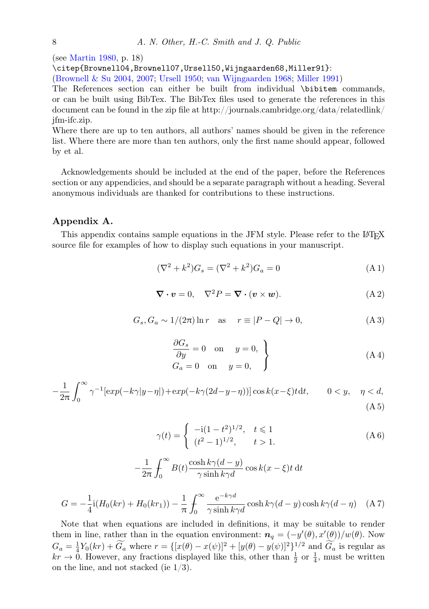#### 8 *A. N. Other, H.-C. Smith and J. Q. Public*

(see Martin 1980, p. 18)

\citep{Brownell04,Brownell07,Ursell50,Wijngaarden68,Miller91}:

(Brownell & Su 2004, 2007; Ursell 1950; van Wijngaarden 1968; Miller 1991)

The References section can either be built from individual \bibitem commands, or can be built using BibTex. The BibTex files used to generate the references in this document can be found in the zip file at http://journals.cambridge.org/data/relatedlink/ jfm-ifc.zip.

Where there are up to ten authors, all authors' names should be given in the reference list. Where there are more than ten authors, only the first name should appear, followed by et al.

Acknowledgements should be included at the end of the paper, before the References section or any appendicies, and should be a separate paragraph without a heading. Several anonymous individuals are thanked for contributions to these instructions.

## Appendix A.

This appendix contains sample equations in the JFM style. Please refer to the L<sup>AT</sup>FX source file for examples of how to display such equations in your manuscript.

$$
(\nabla^2 + k^2)G_s = (\nabla^2 + k^2)G_a = 0
$$
\n(A1)

$$
\nabla \cdot \mathbf{v} = 0, \quad \nabla^2 P = \nabla \cdot (\mathbf{v} \times \mathbf{w}). \tag{A.2}
$$

$$
G_s, G_a \sim 1/(2\pi)\ln r \quad \text{as} \quad r \equiv |P - Q| \to 0,\tag{A3}
$$

$$
\begin{aligned}\n\frac{\partial G_s}{\partial y} &= 0 \quad \text{on} \quad y = 0, \\
G_a &= 0 \quad \text{on} \quad y = 0,\n\end{aligned}
$$
\n(A4)

$$
-\frac{1}{2\pi} \int_0^\infty \gamma^{-1} [\exp(-k\gamma|y-\eta|) + \exp(-k\gamma(2d-y-\eta))] \cos k(x-\xi)t \, dt, \qquad 0 < y, \quad \eta < d,
$$
\n(A5)

$$
\gamma(t) = \begin{cases}\n-i(1-t^2)^{1/2}, & t \le 1 \\
(t^2-1)^{1/2}, & t > 1.\n\end{cases}
$$
\n(A6)

$$
-\frac{1}{2\pi} \int_0^\infty B(t) \frac{\cosh k\gamma (d-y)}{\gamma \sinh k\gamma d} \cos k(x-\xi)t \,dt
$$

$$
G = -\frac{1}{4}\mathrm{i}(H_0(kr) + H_0(kr_1)) - \frac{1}{\pi} \int_0^\infty \frac{e^{-k\gamma d}}{\gamma \sinh k\gamma d} \cosh k\gamma (d - y) \cosh k\gamma (d - \eta) \quad \text{(A 7)}
$$

Note that when equations are included in definitions, it may be suitable to render them in line, rather than in the equation environment:  $n_q = (-y'(\theta), x'(\theta))/w(\theta)$ . Now  $G_a = \frac{1}{4}Y_0(kr) + \widetilde{G}_a$  where  $r = \{ [x(\theta) - x(\psi)]^2 + [y(\theta) - y(\psi)]^2 \}^{1/2}$  and  $\widetilde{G}_a$  is regular as  $kr \to 0$ . However, any fractions displayed like this, other than  $\frac{1}{2}$  or  $\frac{1}{4}$ , must be written on the line, and not stacked (ie 1/3).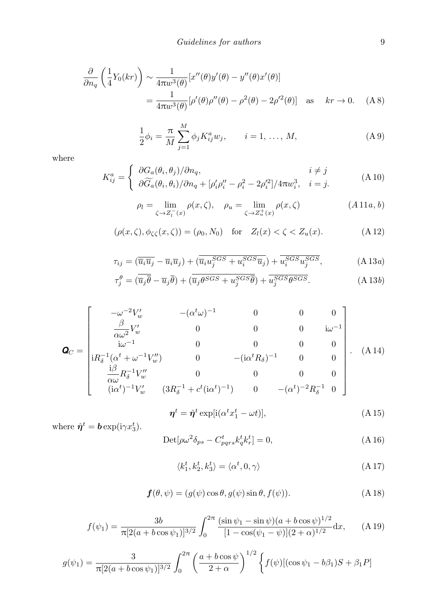$$
\frac{\partial}{\partial n_q} \left( \frac{1}{4} Y_0(kr) \right) \sim \frac{1}{4\pi w^3(\theta)} [x''(\theta)y'(\theta) - y''(\theta)x'(\theta)]
$$
  
= 
$$
\frac{1}{4\pi w^3(\theta)} [\rho'(\theta)\rho''(\theta) - \rho^2(\theta) - 2\rho'^2(\theta)] \text{ as } kr \to 0. \quad (A.8)
$$

$$
\frac{1}{2}\phi_i = \frac{\pi}{M} \sum_{j=1}^{M} \phi_j K_{ij}^a w_j, \qquad i = 1, ..., M,
$$
 (A 9)

where

$$
K_{ij}^a = \begin{cases} \frac{\partial G_a(\theta_i, \theta_j)/\partial n_q, & i \neq j \\ \frac{\partial \widetilde{G}_a(\theta_i, \theta_i)/\partial n_q + [\rho_i' \rho_i'' - \rho_i^2 - 2\rho_i'^2]/4\pi w_i^3, & i = j. \end{cases}
$$
(A 10)

$$
\rho_l = \lim_{\zeta \to Z_l^{-}(x)} \rho(x, \zeta), \quad \rho_u = \lim_{\zeta \to Z_u^{+}(x)} \rho(x, \zeta)
$$
\n(A 11*a, b*)

$$
(\rho(x,\zeta),\phi_{\zeta\zeta}(x,\zeta))=(\rho_0,N_0)\quad\text{for}\quad Z_l(x)<\zeta
$$

$$
\tau_{ij} = (\overline{\overline{u}_i \overline{u}_j} - \overline{u}_i \overline{u}_j) + (\overline{\overline{u}_i u_j^{SGS} + u_i^{SGS} \overline{u}_j}) + \overline{u_i^{SGS} u_j^{SGS}}, \tag{A13a}
$$

$$
\tau_j^{\theta} = (\overline{u}_j \overline{\theta} - \overline{u}_j \overline{\theta}) + (\overline{u}_j \theta^{SGS} + u_j^{SGS} \overline{\theta}) + \overline{u_j^{SGS} \theta^{SGS}}.
$$
 (A13b)

$$
\mathbf{Q}_C = \begin{bmatrix} -\omega^{-2}V_w' & -(\alpha^t\omega)^{-1} & 0 & 0 & 0\\ \frac{\beta}{\alpha\omega^2}V_w' & 0 & 0 & 0 & i\omega^{-1}\\ i\omega^{-1} & 0 & 0 & 0 & 0\\ iR_{\delta}^{-1}(\alpha^t + \omega^{-1}V_w'') & 0 & -(i\alpha^tR_{\delta})^{-1} & 0 & 0\\ \frac{i\beta}{\alpha\omega}R_{\delta}^{-1}V_w'' & 0 & 0 & 0 & 0\\ (i\alpha^t)^{-1}V_w' & (3R_{\delta}^{-1} + c^t(i\alpha^t)^{-1}) & 0 & -(\alpha^t)^{-2}R_{\delta}^{-1} & 0 \end{bmatrix} .
$$
 (A 14)

$$
\boldsymbol{\eta}^t = \hat{\boldsymbol{\eta}}^t \exp[i(\alpha^t x_1^t - \omega t)],\tag{A.15}
$$

where  $\hat{\eta}^t = \mathbf{b} \exp(i\gamma x_3^t)$ .

$$
Det[\rho\omega^2\delta_{ps} - C^t_{pqrs}k^t_qk^t_r] = 0,
$$
\n(A 16)

$$
\langle k_1^t, k_2^t, k_3^t \rangle = \langle \alpha^t, 0, \gamma \rangle \tag{A.17}
$$

$$
\boldsymbol{f}(\theta,\psi) = (g(\psi)\cos\theta, g(\psi)\sin\theta, f(\psi)).
$$
\n(A18)

$$
f(\psi_1) = \frac{3b}{\pi [2(a + b \cos \psi_1)]^{3/2}} \int_0^{2\pi} \frac{(\sin \psi_1 - \sin \psi)(a + b \cos \psi)^{1/2}}{[1 - \cos(\psi_1 - \psi)](2 + \alpha)^{1/2}} dx, \quad (A.19)
$$

$$
g(\psi_1) = \frac{3}{\pi [2(a + b \cos \psi_1)]^{3/2}} \int_0^{2\pi} \left( \frac{a + b \cos \psi}{2 + \alpha} \right)^{1/2} \left\{ f(\psi) [(\cos \psi_1 - b\beta_1)S + \beta_1 P] \right\}
$$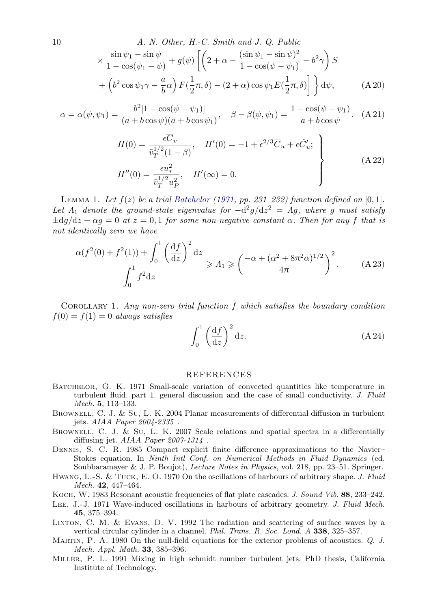10  
\n*A. N. Other, H.-C. Smith and J. Q. Public*  
\n
$$
\times \frac{\sin \psi_1 - \sin \psi}{1 - \cos(\psi_1 - \psi)} + g(\psi) \left[ \left( 2 + \alpha - \frac{(\sin \psi_1 - \sin \psi)^2}{1 - \cos(\psi - \psi_1)} - b^2 \gamma \right) S + \left( b^2 \cos \psi_1 \gamma - \frac{a}{b} \alpha \right) F(\frac{1}{2}\pi, \delta) - (2 + \alpha) \cos \psi_1 E(\frac{1}{2}\pi, \delta) \right] \} d\psi,
$$
\n(A 20)

$$
\alpha = \alpha(\psi, \psi_1) = \frac{b^2 [1 - \cos(\psi - \psi_1)]}{(a + b \cos \psi)(a + b \cos \psi_1)}, \quad \beta - \beta(\psi, \psi_1) = \frac{1 - \cos(\psi - \psi_1)}{a + b \cos \psi}.
$$
 (A 21)

$$
H(0) = \frac{\epsilon \overline{C}_v}{\tilde{v}_T^{1/2} (1 - \beta)}, \quad H'(0) = -1 + \epsilon^{2/3} \overline{C}_u + \epsilon \hat{C}'_u; \\
H''(0) = \frac{\epsilon u_*^2}{\tilde{v}_T^{1/2} u_P^2}, \quad H'(\infty) = 0.
$$
\n(A 22)

LEMMA 1. Let  $f(z)$  be a trial Batchelor (1971, pp. 231–232) function defined on  $[0,1]$ . Let  $\Lambda_1$  denote the ground-state eigenvalue for  $-\frac{d^2g}{dz^2} = \Lambda g$ , where g must satisfy  $\pm d\theta/dz + \alpha g = 0$  *at*  $z = 0, 1$  *for some non-negative constant*  $\alpha$ *. Then for any f that is not identically zero we have*

$$
\frac{\alpha(f^2(0) + f^2(1)) + \int_0^1 \left(\frac{\mathrm{d}f}{\mathrm{d}z}\right)^2 \mathrm{d}z}{\int_0^1 f^2 \mathrm{d}z} \ge \Lambda_1 \ge \left(\frac{-\alpha + (\alpha^2 + 8\pi^2\alpha)^{1/2}}{4\pi}\right)^2. \tag{A.23}
$$

<span id="page-9-5"></span>Corollary 1. *Any non-zero trial function f which satisfies the boundary condition*  $f(0) = f(1) = 0$  *always satisfies* 

$$
\int_0^1 \left(\frac{\mathrm{d}f}{\mathrm{d}z}\right)^2 \mathrm{d}z. \tag{A.24}
$$

#### REFERENCES

- <span id="page-9-1"></span><span id="page-9-0"></span>BATCHELOR, G. K. 1971 Small-scale variation of convected quantities like temperature in turbulent fluid. part 1. general discussion and the case of small conductivity. *J. Fluid Mech.* 5, 113–133.
- <span id="page-9-2"></span>BROWNELL, C. J. & Su, L. K. 2004 Planar measurements of differential diffusion in turbulent jets. *AIAA Paper 2004-2335* .
- <span id="page-9-3"></span>BROWNELL, C. J. & Su, L. K. 2007 Scale relations and spatial spectra in a differentially diffusing jet. *AIAA Paper 2007-1314* .
- <span id="page-9-4"></span>Dennis, S. C. R. 1985 Compact explicit finite difference approximations to the Navier– Stokes equation. In *Ninth Intl Conf. on Numerical Methods in Fluid Dynamics* (ed. Soubbaramayer & J. P. Boujot), *Lecture Notes in Physics*, vol. 218, pp. 23–51. Springer.
- Hwang, L.-S. & Tuck, E. O. 1970 On the oscillations of harbours of arbitrary shape. *J. Fluid Mech.* 42, 447–464.
- Koch, W. 1983 Resonant acoustic frequencies of flat plate cascades. *J. Sound Vib.* 88, 233–242.
- Lee, J.-J. 1971 Wave-induced oscillations in harbours of arbitrary geometry. *J. Fluid Mech.* 45, 375–394.
- Linton, C. M. & Evans, D. V. 1992 The radiation and scattering of surface waves by a vertical circular cylinder in a channel. *Phil. Trans. R. Soc. Lond. A* 338, 325–357.
- Martin, P. A. 1980 On the null-field equations for the exterior problems of acoustics. *Q. J. Mech. Appl. Math.* 33, 385–396.
- Miller, P. L. 1991 Mixing in high schmidt number turbulent jets. PhD thesis, California Institute of Technology.